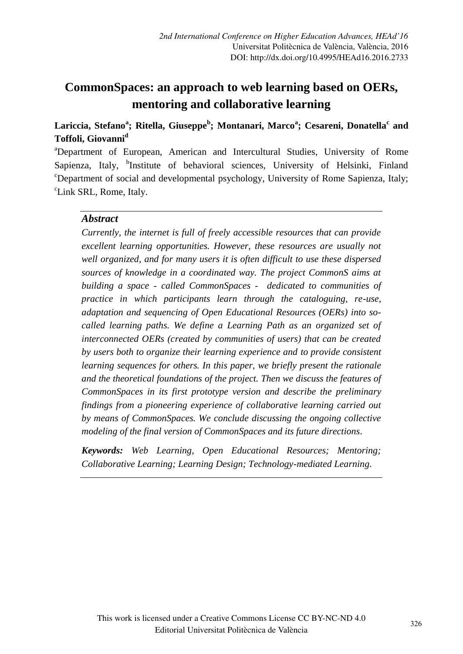# **CommonSpaces: an approach to web learning based on OERs, mentoring and collaborative learning**

### **Lariccia, Stefano<sup>a</sup> ; Ritella, Giuseppe<sup>b</sup> ; Montanari, Marco<sup>a</sup> ; Cesareni, Donatella<sup>c</sup> and Toffoli, Giovanni<sup>d</sup>**

<sup>a</sup>Department of European, American and Intercultural Studies, University of Rome Sapienza, Italy, <sup>b</sup>Institute of behavioral sciences, University of Helsinki, Finland  $c^{\circ}$ Department of social and developmental psychology, University of Rome Sapienza, Italy; <sup>c</sup>Link SRL, Rome, Italy.

#### *Abstract*

*Currently, the internet is full of freely accessible resources that can provide excellent learning opportunities. However, these resources are usually not well organized, and for many users it is often difficult to use these dispersed sources of knowledge in a coordinated way. The project CommonS aims at building a space - called CommonSpaces - dedicated to communities of practice in which participants learn through the cataloguing, re-use, adaptation and sequencing of Open Educational Resources (OERs) into socalled learning paths. We define a Learning Path as an organized set of interconnected OERs (created by communities of users) that can be created by users both to organize their learning experience and to provide consistent learning sequences for others. In this paper, we briefly present the rationale and the theoretical foundations of the project. Then we discuss the features of CommonSpaces in its first prototype version and describe the preliminary findings from a pioneering experience of collaborative learning carried out by means of CommonSpaces. We conclude discussing the ongoing collective modeling of the final version of CommonSpaces and its future directions.* 

*Keywords: Web Learning, Open Educational Resources; Mentoring; Collaborative Learning; Learning Design; Technology-mediated Learning.*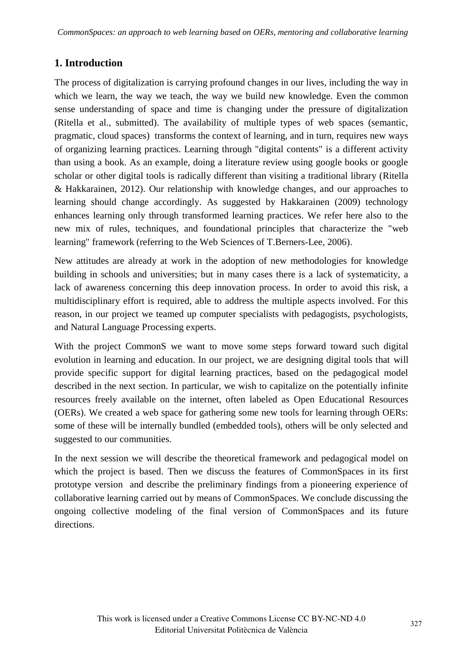# **1. Introduction**

The process of digitalization is carrying profound changes in our lives, including the way in which we learn, the way we teach, the way we build new knowledge. Even the common sense understanding of space and time is changing under the pressure of digitalization (Ritella et al., submitted). The availability of multiple types of web spaces (semantic, pragmatic, cloud spaces) transforms the context of learning, and in turn, requires new ways of organizing learning practices. Learning through "digital contents" is a different activity than using a book. As an example, doing a literature review using google books or google scholar or other digital tools is radically different than visiting a traditional library (Ritella & Hakkarainen, 2012). Our relationship with knowledge changes, and our approaches to learning should change accordingly. As suggested by Hakkarainen (2009) technology enhances learning only through transformed learning practices. We refer here also to the new mix of rules, techniques, and foundational principles that characterize the "web learning" framework (referring to the Web Sciences of T.Berners-Lee, 2006).

New attitudes are already at work in the adoption of new methodologies for knowledge building in schools and universities; but in many cases there is a lack of systematicity, a lack of awareness concerning this deep innovation process. In order to avoid this risk, a multidisciplinary effort is required, able to address the multiple aspects involved. For this reason, in our project we teamed up computer specialists with pedagogists, psychologists, and Natural Language Processing experts.

With the project CommonS we want to move some steps forward toward such digital evolution in learning and education. In our project, we are designing digital tools that will provide specific support for digital learning practices, based on the pedagogical model described in the next section. In particular, we wish to capitalize on the potentially infinite resources freely available on the internet, often labeled as Open Educational Resources (OERs). We created a web space for gathering some new tools for learning through OERs: some of these will be internally bundled (embedded tools), others will be only selected and suggested to our communities.

In the next session we will describe the theoretical framework and pedagogical model on which the project is based. Then we discuss the features of CommonSpaces in its first prototype version and describe the preliminary findings from a pioneering experience of collaborative learning carried out by means of CommonSpaces. We conclude discussing the ongoing collective modeling of the final version of CommonSpaces and its future directions.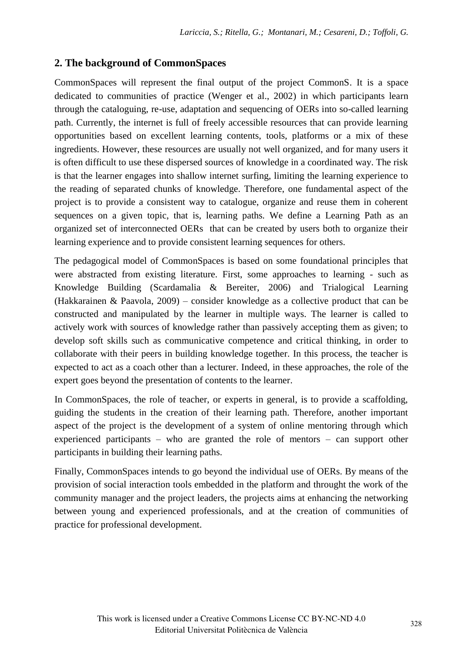## **2. The background of CommonSpaces**

CommonSpaces will represent the final output of the project CommonS. It is a space dedicated to communities of practice (Wenger et al., 2002) in which participants learn through the cataloguing, re-use, adaptation and sequencing of OERs into so-called learning path. Currently, the internet is full of freely accessible resources that can provide learning opportunities based on excellent learning contents, tools, platforms or a mix of these ingredients. However, these resources are usually not well organized, and for many users it is often difficult to use these dispersed sources of knowledge in a coordinated way. The risk is that the learner engages into shallow internet surfing, limiting the learning experience to the reading of separated chunks of knowledge. Therefore, one fundamental aspect of the project is to provide a consistent way to catalogue, organize and reuse them in coherent sequences on a given topic, that is, learning paths. We define a Learning Path as an organized set of interconnected OERs that can be created by users both to organize their learning experience and to provide consistent learning sequences for others.

The pedagogical model of CommonSpaces is based on some foundational principles that were abstracted from existing literature. First, some approaches to learning - such as Knowledge Building (Scardamalia & Bereiter, 2006) and Trialogical Learning (Hakkarainen & Paavola, 2009) – consider knowledge as a collective product that can be constructed and manipulated by the learner in multiple ways. The learner is called to actively work with sources of knowledge rather than passively accepting them as given; to develop soft skills such as communicative competence and critical thinking, in order to collaborate with their peers in building knowledge together. In this process, the teacher is expected to act as a coach other than a lecturer. Indeed, in these approaches, the role of the expert goes beyond the presentation of contents to the learner.

In CommonSpaces, the role of teacher, or experts in general, is to provide a scaffolding, guiding the students in the creation of their learning path. Therefore, another important aspect of the project is the development of a system of online mentoring through which experienced participants – who are granted the role of mentors – can support other participants in building their learning paths.

Finally, CommonSpaces intends to go beyond the individual use of OERs. By means of the provision of social interaction tools embedded in the platform and throught the work of the community manager and the project leaders, the projects aims at enhancing the networking between young and experienced professionals, and at the creation of communities of practice for professional development.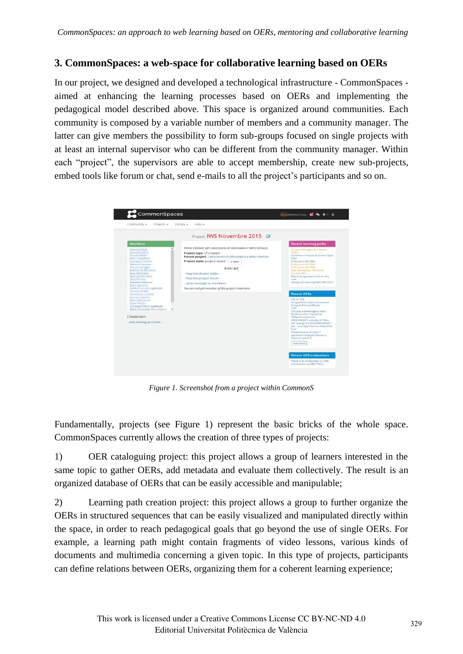## **3. CommonSpaces: a web-space for collaborative learning based on OERs**

In our project, we designed and developed a technological infrastructure - CommonSpaces aimed at enhancing the learning processes based on OERs and implementing the pedagogical model described above. This space is organized around communities. Each community is composed by a variable number of members and a community manager. The latter can give members the possibility to form sub-groups focused on single projects with at least an internal supervisor who can be different from the community manager. Within each "project", the supervisors are able to accept membership, create new sub-projects, embed tools like forum or chat, send e-mails to all the project's participants and so on.



*Figure 1. Screenshot from a project within CommonS* 

Fundamentally, projects (see Figure 1) represent the basic bricks of the whole space. CommonSpaces currently allows the creation of three types of projects:

1) OER cataloguing project: this project allows a group of learners interested in the same topic to gather OERs, add metadata and evaluate them collectively. The result is an organized database of OERs that can be easily accessible and manipulable;

2) Learning path creation project: this project allows a group to further organize the OERs in structured sequences that can be easily visualized and manipulated directly within the space, in order to reach pedagogical goals that go beyond the use of single OERs. For example, a learning path might contain fragments of video lessons, various kinds of documents and multimedia concerning a given topic. In this type of projects, participants can define relations between OERs, organizing them for a coherent learning experience;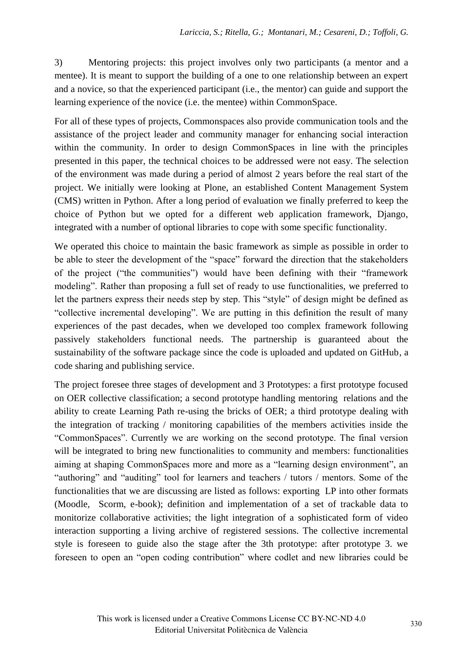3) Mentoring projects: this project involves only two participants (a mentor and a mentee). It is meant to support the building of a one to one relationship between an expert and a novice, so that the experienced participant (i.e., the mentor) can guide and support the learning experience of the novice (i.e. the mentee) within CommonSpace.

For all of these types of projects, Commonspaces also provide communication tools and the assistance of the project leader and community manager for enhancing social interaction within the community. In order to design CommonSpaces in line with the principles presented in this paper, the technical choices to be addressed were not easy. The selection of the environment was made during a period of almost 2 years before the real start of the project. We initially were looking at Plone, an established Content Management System (CMS) written in Python. After a long period of evaluation we finally preferred to keep the choice of Python but we opted for a different web application framework, Django, integrated with a number of optional libraries to cope with some specific functionality.

We operated this choice to maintain the basic framework as simple as possible in order to be able to steer the development of the "space" forward the direction that the stakeholders of the project ("the communities") would have been defining with their "framework modeling". Rather than proposing a full set of ready to use functionalities, we preferred to let the partners express their needs step by step. This "style" of design might be defined as "collective incremental developing". We are putting in this definition the result of many experiences of the past decades, when we developed too complex framework following passively stakeholders functional needs. The partnership is guaranteed about the sustainability of the software package since the code is uploaded and updated on GitHub, a code sharing and publishing service.

The project foresee three stages of development and 3 Prototypes: a first prototype focused on OER collective classification; a second prototype handling mentoring relations and the ability to create Learning Path re-using the bricks of OER; a third prototype dealing with the integration of tracking / monitoring capabilities of the members activities inside the "CommonSpaces". Currently we are working on the second prototype. The final version will be integrated to bring new functionalities to community and members: functionalities aiming at shaping CommonSpaces more and more as a "learning design environment", an "authoring" and "auditing" tool for learners and teachers / tutors / mentors. Some of the functionalities that we are discussing are listed as follows: exporting LP into other formats (Moodle, Scorm, e-book); definition and implementation of a set of trackable data to monitorize collaborative activities; the light integration of a sophisticated form of video interaction supporting a living archive of registered sessions. The collective incremental style is foreseen to guide also the stage after the 3th prototype: after prototype 3. we foreseen to open an "open coding contribution" where codlet and new libraries could be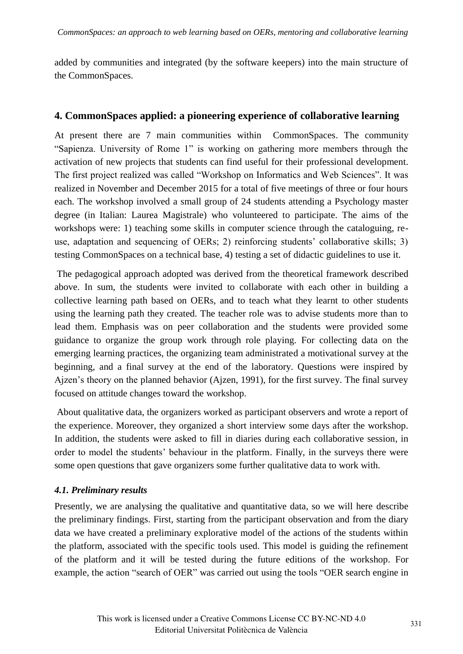added by communities and integrated (by the software keepers) into the main structure of the CommonSpaces.

#### **4. CommonSpaces applied: a pioneering experience of collaborative learning**

At present there are 7 main communities within CommonSpaces. The community "Sapienza. University of Rome 1" is working on gathering more members through the activation of new projects that students can find useful for their professional development. The first project realized was called "Workshop on Informatics and Web Sciences". It was realized in November and December 2015 for a total of five meetings of three or four hours each. The workshop involved a small group of 24 students attending a Psychology master degree (in Italian: Laurea Magistrale) who volunteered to participate. The aims of the workshops were: 1) teaching some skills in computer science through the cataloguing, reuse, adaptation and sequencing of OERs; 2) reinforcing students' collaborative skills; 3) testing CommonSpaces on a technical base, 4) testing a set of didactic guidelines to use it.

 The pedagogical approach adopted was derived from the theoretical framework described above. In sum, the students were invited to collaborate with each other in building a collective learning path based on OERs, and to teach what they learnt to other students using the learning path they created. The teacher role was to advise students more than to lead them. Emphasis was on peer collaboration and the students were provided some guidance to organize the group work through role playing. For collecting data on the emerging learning practices, the organizing team administrated a motivational survey at the beginning, and a final survey at the end of the laboratory. Questions were inspired by Ajzen's theory on the planned behavior (Ajzen, 1991), for the first survey. The final survey focused on attitude changes toward the workshop.

 About qualitative data, the organizers worked as participant observers and wrote a report of the experience. Moreover, they organized a short interview some days after the workshop. In addition, the students were asked to fill in diaries during each collaborative session, in order to model the students' behaviour in the platform. Finally, in the surveys there were some open questions that gave organizers some further qualitative data to work with.

#### *4.1. Preliminary results*

Presently, we are analysing the qualitative and quantitative data, so we will here describe the preliminary findings. First, starting from the participant observation and from the diary data we have created a preliminary explorative model of the actions of the students within the platform, associated with the specific tools used. This model is guiding the refinement of the platform and it will be tested during the future editions of the workshop. For example, the action "search of OER" was carried out using the tools "OER search engine in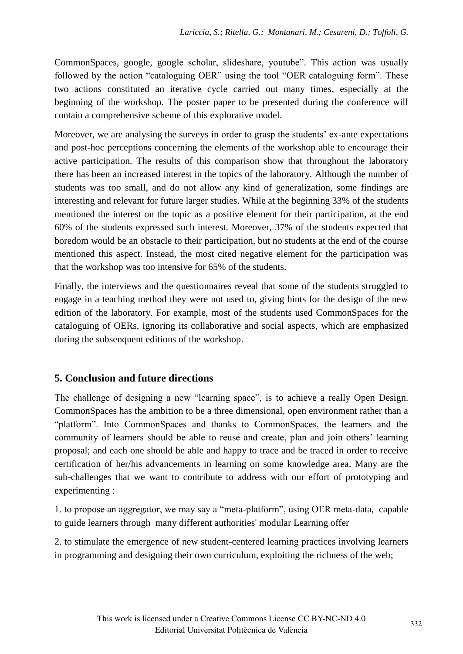CommonSpaces, google, google scholar, slideshare, youtube". This action was usually followed by the action "cataloguing OER" using the tool "OER cataloguing form". These two actions constituted an iterative cycle carried out many times, especially at the beginning of the workshop. The poster paper to be presented during the conference will contain a comprehensive scheme of this explorative model.

Moreover, we are analysing the surveys in order to grasp the students' ex-ante expectations and post-hoc perceptions concerning the elements of the workshop able to encourage their active participation. The results of this comparison show that throughout the laboratory there has been an increased interest in the topics of the laboratory. Although the number of students was too small, and do not allow any kind of generalization, some findings are interesting and relevant for future larger studies. While at the beginning 33% of the students mentioned the interest on the topic as a positive element for their participation, at the end 60% of the students expressed such interest. Moreover, 37% of the students expected that boredom would be an obstacle to their participation, but no students at the end of the course mentioned this aspect. Instead, the most cited negative element for the participation was that the workshop was too intensive for 65% of the students.

Finally, the interviews and the questionnaires reveal that some of the students struggled to engage in a teaching method they were not used to, giving hints for the design of the new edition of the laboratory. For example, most of the students used CommonSpaces for the cataloguing of OERs, ignoring its collaborative and social aspects, which are emphasized during the subsenquent editions of the workshop.

## **5. Conclusion and future directions**

The challenge of designing a new "learning space", is to achieve a really Open Design. CommonSpaces has the ambition to be a three dimensional, open environment rather than a "platform". Into CommonSpaces and thanks to CommonSpaces, the learners and the community of learners should be able to reuse and create, plan and join others' learning proposal; and each one should be able and happy to trace and be traced in order to receive certification of her/his advancements in learning on some knowledge area. Many are the sub-challenges that we want to contribute to address with our effort of prototyping and experimenting :

1. to propose an aggregator, we may say a "meta-platform", using OER meta-data, capable to guide learners through many different authorities' modular Learning offer

2. to stimulate the emergence of new student-centered learning practices involving learners in programming and designing their own curriculum, exploiting the richness of the web;